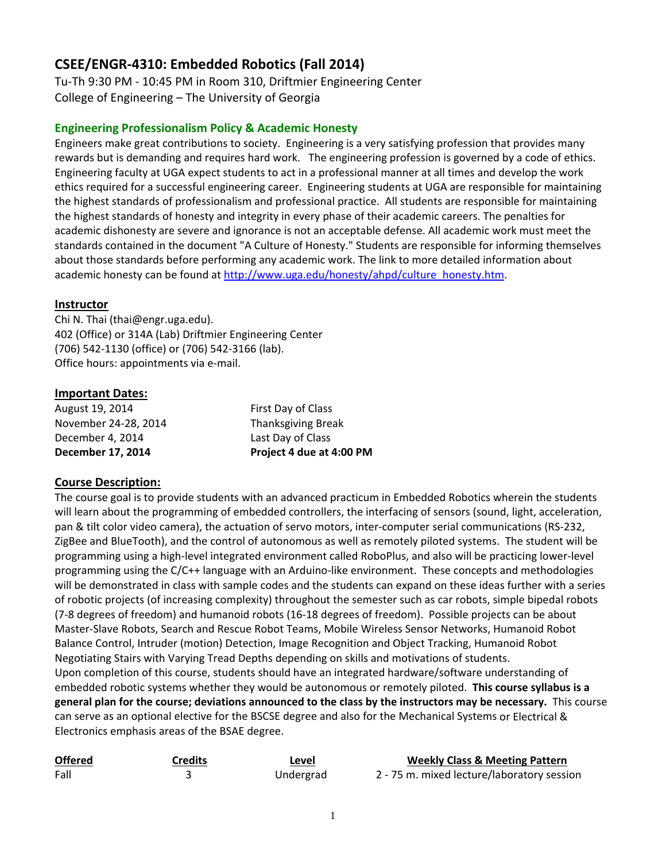# **CSEE/ENGR‐4310: Embedded Robotics (Fall 2014)**

Tu‐Th 9:30 PM ‐ 10:45 PM in Room 310, Driftmier Engineering Center College of Engineering – The University of Georgia

## **Engineering Professionalism Policy & Academic Honesty**

Engineers make great contributions to society. Engineering is a very satisfying profession that provides many rewards but is demanding and requires hard work. The engineering profession is governed by a code of ethics. Engineering faculty at UGA expect students to act in a professional manner at all times and develop the work ethics required for a successful engineering career. Engineering students at UGA are responsible for maintaining the highest standards of professionalism and professional practice. All students are responsible for maintaining the highest standards of honesty and integrity in every phase of their academic careers. The penalties for academic dishonesty are severe and ignorance is not an acceptable defense. All academic work must meet the standards contained in the document "A Culture of Honesty." Students are responsible for informing themselves about those standards before performing any academic work. The link to more detailed information about academic honesty can be found at http://www.uga.edu/honesty/ahpd/culture\_honesty.htm.

### **Instructor**

Chi N. Thai (thai@engr.uga.edu). 402 (Office) or 314A (Lab) Driftmier Engineering Center (706) 542‐1130 (office) or (706) 542‐3166 (lab). Office hours: appointments via e‐mail.

## **Important Dates:**

August 19, 2014 First Day of Class November 24-28, 2014 Thanksgiving Break December 4, 2014 Last Day of Class

**December 17, 2014 Project 4 due at 4:00 PM**

## **Course Description:**

The course goal is to provide students with an advanced practicum in Embedded Robotics wherein the students will learn about the programming of embedded controllers, the interfacing of sensors (sound, light, acceleration, pan & tilt color video camera), the actuation of servo motors, inter‐computer serial communications (RS‐232, ZigBee and BlueTooth), and the control of autonomous as well as remotely piloted systems. The student will be programming using a high‐level integrated environment called RoboPlus, and also will be practicing lower‐level programming using the C/C++ language with an Arduino‐like environment. These concepts and methodologies will be demonstrated in class with sample codes and the students can expand on these ideas further with a series of robotic projects (of increasing complexity) throughout the semester such as car robots, simple bipedal robots (7‐8 degrees of freedom) and humanoid robots (16‐18 degrees of freedom). Possible projects can be about Master‐Slave Robots, Search and Rescue Robot Teams, Mobile Wireless Sensor Networks, Humanoid Robot Balance Control, Intruder (motion) Detection, Image Recognition and Object Tracking, Humanoid Robot Negotiating Stairs with Varying Tread Depths depending on skills and motivations of students. Upon completion of this course, students should have an integrated hardware/software understanding of embedded robotic systems whether they would be autonomous or remotely piloted. **This course syllabus is a general plan for the course; deviations announced to the class by the instructors may be necessary.** This course can serve as an optional elective for the BSCSE degree and also for the Mechanical Systems or Electrical & Electronics emphasis areas of the BSAE degree.

| <b>Offered</b> | Credits | Level     | <b>Weekly Class &amp; Meeting Pattern</b>  |
|----------------|---------|-----------|--------------------------------------------|
| Fall           |         | Undergrad | 2 - 75 m. mixed lecture/laboratory session |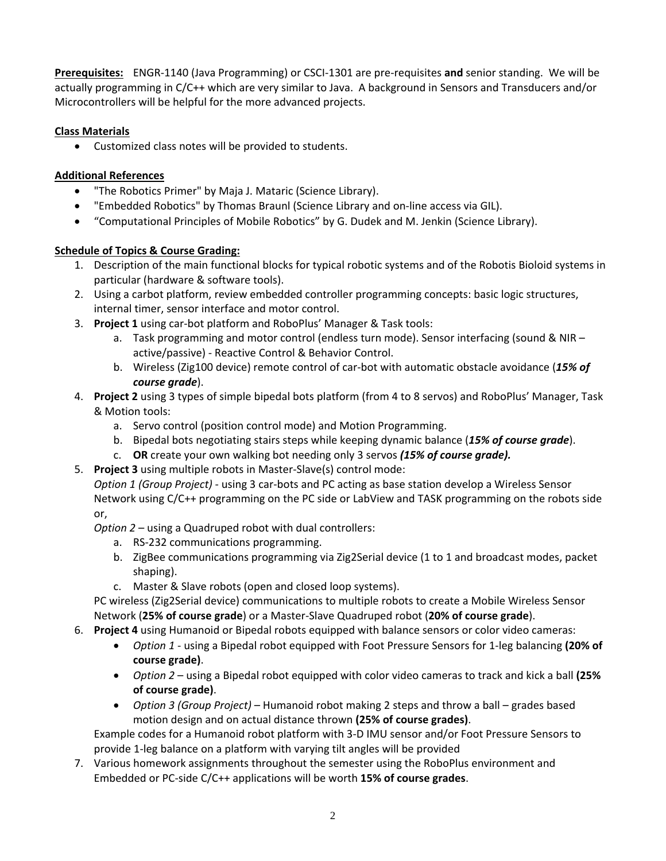**Prerequisites:** ENGR‐1140 (Java Programming) or CSCI‐1301 are pre‐requisites **and** senior standing. We will be actually programming in C/C++ which are very similar to Java. A background in Sensors and Transducers and/or Microcontrollers will be helpful for the more advanced projects.

## **Class Materials**

Customized class notes will be provided to students.

## **Additional References**

- "The Robotics Primer" by Maja J. Mataric (Science Library).
- "Embedded Robotics" by Thomas Braunl (Science Library and on‐line access via GIL).
- "Computational Principles of Mobile Robotics" by G. Dudek and M. Jenkin (Science Library).

## **Schedule of Topics & Course Grading:**

- 1. Description of the main functional blocks for typical robotic systems and of the Robotis Bioloid systems in particular (hardware & software tools).
- 2. Using a carbot platform, review embedded controller programming concepts: basic logic structures, internal timer, sensor interface and motor control.
- 3. **Project 1** using car‐bot platform and RoboPlus' Manager & Task tools:
	- a. Task programming and motor control (endless turn mode). Sensor interfacing (sound & NIR active/passive) ‐ Reactive Control & Behavior Control.
	- b. Wireless (Zig100 device) remote control of car‐bot with automatic obstacle avoidance (*15% of course grade*).
- 4. **Project 2** using 3 types of simple bipedal bots platform (from 4 to 8 servos) and RoboPlus' Manager, Task & Motion tools:
	- a. Servo control (position control mode) and Motion Programming.
	- b. Bipedal bots negotiating stairs steps while keeping dynamic balance (*15% of course grade*).
	- c. **OR** create your own walking bot needing only 3 servos *(15% of course grade).*
- 5. **Project 3** using multiple robots in Master‐Slave(s) control mode:

*Option 1 (Group Project)* ‐ using 3 car‐bots and PC acting as base station develop a Wireless Sensor Network using C/C++ programming on the PC side or LabView and TASK programming on the robots side or,

*Option 2* – using a Quadruped robot with dual controllers:

- a. RS‐232 communications programming.
- b. ZigBee communications programming via Zig2Serial device (1 to 1 and broadcast modes, packet shaping).
- c. Master & Slave robots (open and closed loop systems).

PC wireless (Zig2Serial device) communications to multiple robots to create a Mobile Wireless Sensor Network (**25% of course grade**) or a Master‐Slave Quadruped robot (**20% of course grade**).

- 6. **Project 4** using Humanoid or Bipedal robots equipped with balance sensors or color video cameras:
	- *Option 1* ‐ using a Bipedal robot equipped with Foot Pressure Sensors for 1‐leg balancing **(20% of course grade)**.
	- *Option 2* using a Bipedal robot equipped with color video cameras to track and kick a ball **(25% of course grade)**.
	- *Option 3 (Group Project)* Humanoid robot making 2 steps and throw a ball grades based motion design and on actual distance thrown **(25% of course grades)**.

Example codes for a Humanoid robot platform with 3‐D IMU sensor and/or Foot Pressure Sensors to provide 1‐leg balance on a platform with varying tilt angles will be provided

7. Various homework assignments throughout the semester using the RoboPlus environment and Embedded or PC‐side C/C++ applications will be worth **15% of course grades**.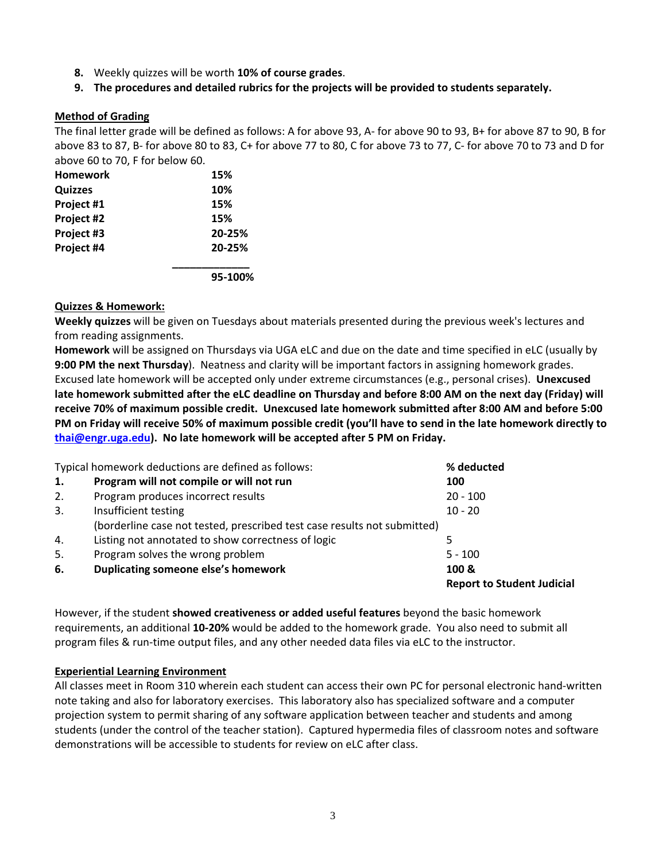- **8.** Weekly quizzes will be worth **10% of course grades**.
- **9. The procedures and detailed rubrics for the projects will be provided to students separately.**

### **Method of Grading**

The final letter grade will be defined as follows: A for above 93, A‐ for above 90 to 93, B+ for above 87 to 90, B for above 83 to 87, B‐ for above 80 to 83, C+ for above 77 to 80, C for above 73 to 77, C‐ for above 70 to 73 and D for above 60 to 70, F for below 60.

| <b>Homework</b> | 15%     |
|-----------------|---------|
| <b>Quizzes</b>  | 10%     |
| Project #1      | 15%     |
| Project #2      | 15%     |
| Project #3      | 20-25%  |
| Project #4      | 20-25%  |
|                 | 95-100% |

#### **Quizzes & Homework:**

**Weekly quizzes** will be given on Tuesdays about materials presented during the previous week's lectures and from reading assignments.

**Homework** will be assigned on Thursdays via UGA eLC and due on the date and time specified in eLC (usually by **9:00 PM the next Thursday**). Neatness and clarity will be important factors in assigning homework grades. Excused late homework will be accepted only under extreme circumstances (e.g., personal crises). **Unexcused** late homework submitted after the eLC deadline on Thursday and before 8:00 AM on the next day (Friday) will **receive 70% of maximum possible credit. Unexcused late homework submitted after 8:00 AM and before 5:00** PM on Friday will receive 50% of maximum possible credit (you'll have to send in the late homework directly to **thai@engr.uga.edu). No late homework will be accepted after 5 PM on Friday.**

|    | Typical homework deductions are defined as follows:                      | % deducted                        |
|----|--------------------------------------------------------------------------|-----------------------------------|
| 1. | Program will not compile or will not run                                 | 100                               |
| 2. | Program produces incorrect results                                       | $20 - 100$                        |
| 3. | Insufficient testing                                                     | $10 - 20$                         |
|    | (borderline case not tested, prescribed test case results not submitted) |                                   |
| 4. | Listing not annotated to show correctness of logic                       |                                   |
| 5. | Program solves the wrong problem                                         | $5 - 100$                         |
| 6. | Duplicating someone else's homework                                      | 100 &                             |
|    |                                                                          | <b>Report to Student Judicial</b> |

However, if the student **showed creativeness or added useful features** beyond the basic homework requirements, an additional **10‐20%** would be added to the homework grade.You also need to submit all program files & run‐time output files, and any other needed data files via eLC to the instructor.

#### **Experiential Learning Environment**

All classes meet in Room 310 wherein each student can access their own PC for personal electronic hand‐written note taking and also for laboratory exercises. This laboratory also has specialized software and a computer projection system to permit sharing of any software application between teacher and students and among students (under the control of the teacher station). Captured hypermedia files of classroom notes and software demonstrations will be accessible to students for review on eLC after class.